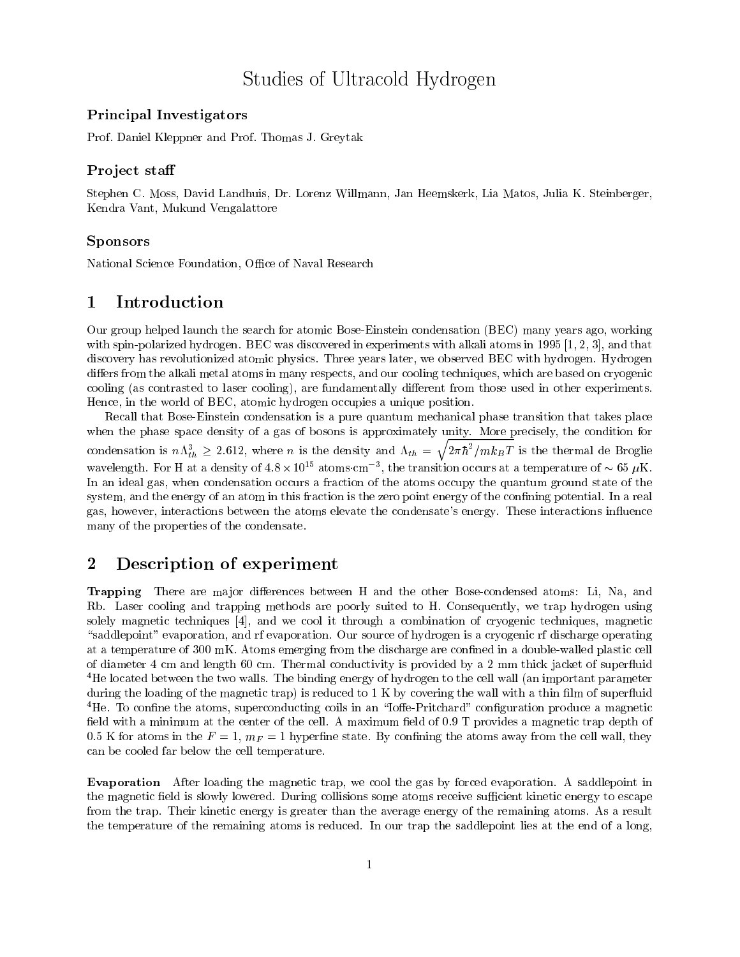# Studies of Ultracold Hydrogen

## Principal Investigation of the contract of the contract of the contract of the contract of the contract of the

Prof. Daniel Kleppner and Prof. Thomas J. Greytak

## $\blacksquare$  To ject stail

Stephen C. Moss, David Landhuis, Dr. Lorenz Willmann, Jan Heemskerk, Lia Matos, Julia K. Steinberger, Kendra Vant, Mukund Vengalattore

## Sponsors

National Science Foundation, Office of Naval Research

#### 1Introduction

Our group helped launch the search for atomic Bose-Einstein condensation (BEC) many years ago, working with spin-polarized hydrogen. BEC was discovered in experiments with alkali atoms in 1995 [1, 2, 3], and that discovery has revolutionized atomic physics. Three years later, we observed BEC with hydrogen. Hydrogen differs from the alkali metal atoms in many respects, and our cooling techniques, which are based on cryogenic cooling (as contrasted to laser cooling), are fundamentally different from those used in other experiments. Hence, in the world of BEC, atomic hydrogen occupies a unique position.

Recall that Bose-Einstein condensation is a pure quantum mechanical phase transition that takes place when the phase space density of a gas of bosons is approximately unity. More precisely, the condition for condensation is  $n\Lambda_{th}^3 \geq 2.612$ , where n is the density and  $\Lambda_{th} = \sqrt{2\pi\hbar^2/mk_BT}$  is the thermal de Broglie wavelength. For H at a density of 4.8  $\times$  10  $^{\circ}$  atoms cm  $^{-\circ}$ , the transition occurs at a temperature of  $\sim$  65  $\mu$ K. In an ideal gas, when condensation occurs a fraction of the atoms occupy the quantum ground state of the system, and the energy of an atom in this fraction is the zero point energy of the confining potential. In a real gas, however, interactions between the atoms elevate the condensate's energy. These interactions in
uence many of the properties of the condensate.

#### 2Description of experiment

Trapping There are major differences between H and the other Bose-condensed atoms: Li, Na, and Rb. Laser cooling and trapping methods are poorly suited to H. Consequently, we trap hydrogen using solely magnetic techniques [4], and we cool it through a combination of cryogenic techniques, magnetic "saddlepoint" evaporation, and rf evaporation. Our source of hydrogen is a cryogenic rf discharge operating at a temperature of 300 mK. Atoms emerging from the discharge are confined in a double-walled plastic cell of diameter 4 cm and length 60 cm. Thermal conductivity is provided by a 2 mm thick jacket of super
uid <sup>4</sup>He located between the two walls. The binding energy of hydrogen to the cell wall (an important parameter during the loading of the magnetic trap) is reduced to  $1 \text{ K}$  by covering the wall with a thin film of superfluid  ${}^{4}$ He. To confine the atoms, superconducting coils in an "Ioffe-Pritchard" configuration produce a magnetic field with a minimum at the center of the cell. A maximum field of 0.9 T provides a magnetic trap depth of 0.5 K for atoms in the  $F = 1$ ,  $m_F = 1$  hyperfine state. By confining the atoms away from the cell wall, they can be cooled far below the cell temperature.

Evaporation After loading the magnetic trap, we cool the gas by forced evaporation. A saddlepoint in the magnetic field is slowly lowered. During collisions some atoms receive sufficient kinetic energy to escape from the trap. Their kinetic energy is greater than the average energy of the remaining atoms. As a result the temperature of the remaining atoms is reduced. In our trap the saddlepoint lies at the end of a long,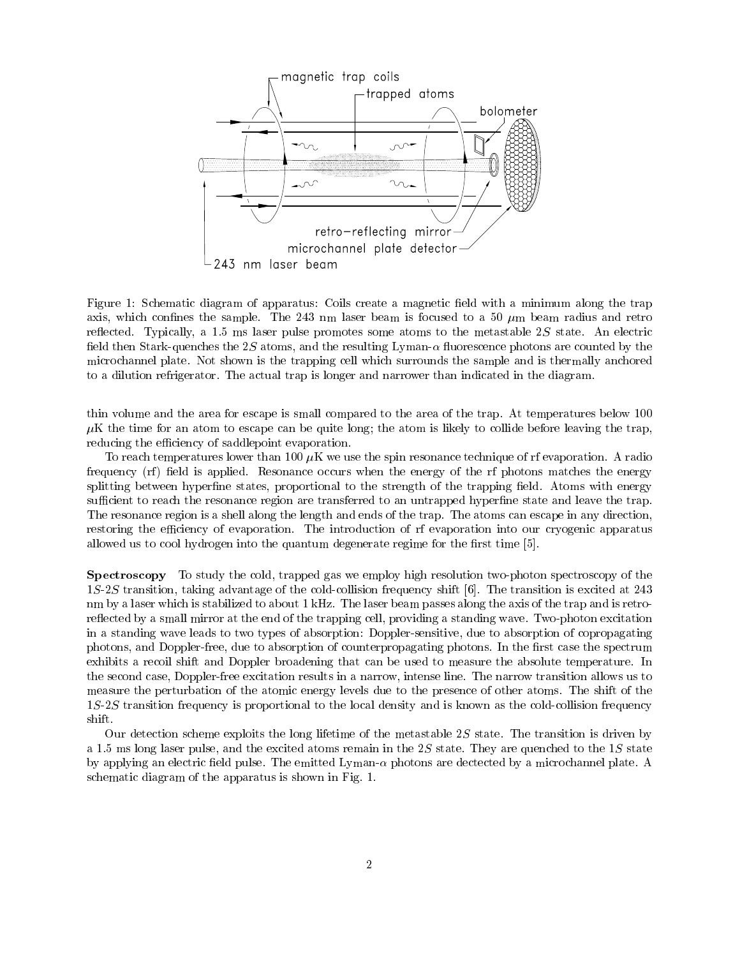

Figure 1: Schematic diagram of apparatus: Coils create a magnetic field with a minimum along the trap axis, which confines the sample. The 243 nm laser beam is focused to a 50  $\mu$ m beam radius and retro reflected. Typically, a 1.5 ms laser pulse promotes some atoms to the metastable 2S state. An electric field then Stark-quenches the 2S atoms, and the resulting Lyman- $\alpha$  fluorescence photons are counted by the microchannel plate. Not shown is the trapping cell which surrounds the sample and is thermally anchored to a dilution refrigerator. The actual trap is longer and narrower than indicated in the diagram.

thin volume and the area for escape is small compared to the area of the trap. At temperatures below 100  $\mu$ K the time for an atom to escape can be quite long; the atom is likely to collide before leaving the trap, reducing the efficiency of saddlepoint evaporation.

To reach temperatures lower than 100  $\mu$ K we use the spin resonance technique of rf evaporation. A radio frequency (rf) field is applied. Resonance occurs when the energy of the rf photons matches the energy splitting between hyperfine states, proportional to the strength of the trapping field. Atoms with energy sufficient to reach the resonance region are transferred to an untrapped hyperfine state and leave the trap. The resonance region is a shell along the length and ends of the trap. The atoms can escape in any direction, restoring the efficiency of evaporation. The introduction of rf evaporation into our cryogenic apparatus allowed us to cool hydrogen into the quantum degenerate regime for the first time  $[5]$ .

Spectroscopy To study the cold, trapped gas we employ high resolution two-photon spectroscopy of the 1S-2S transition, taking advantage of the cold-collision frequency shift [6]. The transition is excited at 243 nm by a laser which is stabilized to about 1 kHz. The laser beam passes along the axis of the trap and is retroreflected by a small mirror at the end of the trapping cell, providing a standing wave. Two-photon excitation in a standing wave leads to two types of absorption: Doppler-sensitive, due to absorption of copropagating photons, and Doppler-free, due to absorption of counterpropagating photons. In the first case the spectrum exhibits a recoil shift and Doppler broadening that can be used to measure the absolute temperature. In the second case, Doppler-free excitation results in a narrow, intense line. The narrow transition allows us to measure the perturbation of the atomic energy levels due to the presence of other atoms. The shift of the 1S-2S transition frequency is proportional to the local density and is known as the cold-collision frequency shift.

Our detection scheme exploits the long lifetime of the metastable 2S state. The transition is driven by a 1.5 ms long laser pulse, and the excited atoms remain in the  $2S$  state. They are quenched to the 1S state by applying an electric field pulse. The emitted Lyman- $\alpha$  photons are dectected by a microchannel plate. A schematic diagram of the apparatus is shown in Fig. 1.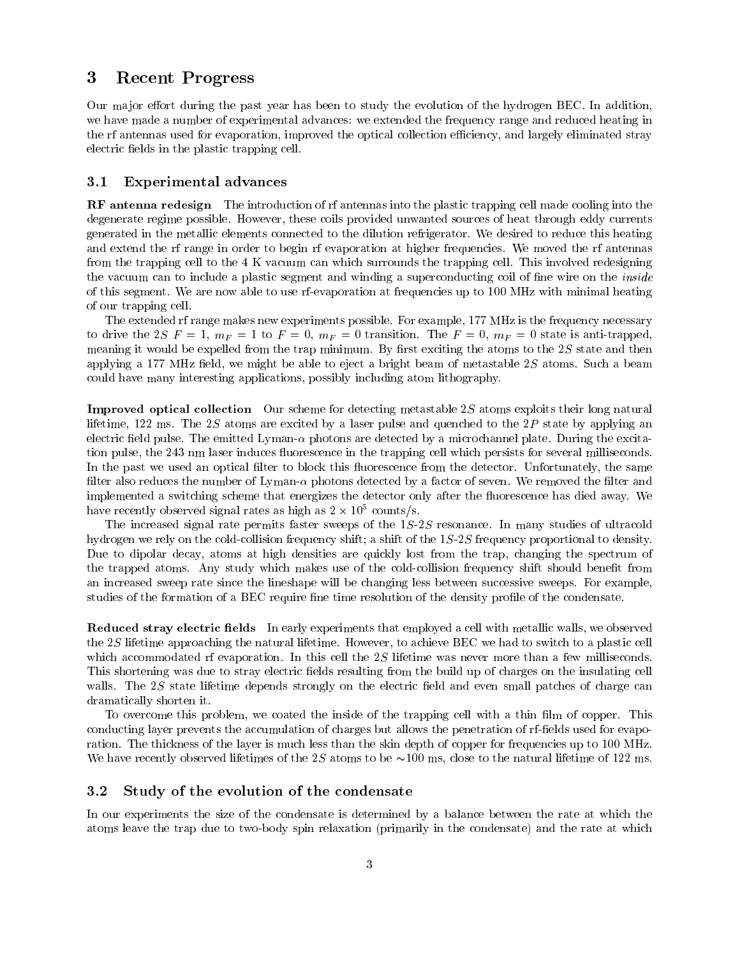#### 3Recent Progress

Our major effort during the past year has been to study the evolution of the hydrogen BEC. In addition, we have made a number of experimental advances: we extended the frequency range and reduced heating in the rf antennas used for evaporation, improved the optical collection efficiency, and largely eliminated stray electric fields in the plastic trapping cell.

#### 3.1Experimental advances

RF antenna redesign The introduction of rf antennas into the plastic trapping cell made cooling into the degenerate regime possible. However, these coils provided unwanted sources of heat through eddy currents generated in the metallic elements connected to the dilution refrigerator. We desired to reduce this heating and extend the rf range in order to begin rf evaporation at higher frequencies. We moved the rf antennas from the trapping cell to the 4 K vacuum can which surrounds the trapping cell. This involved redesigning the vacuum can to include a plastic segment and winding a superconducting coil of fine wire on the *inside* of this segment. We are now able to use rf-evaporation at frequencies up to 100 MHz with minimal heating of our trapping cell.

The extended rf range makes new experiments possible. For example, 177 MHz is the frequency necessary to drive the 2S  $F = 1$ ,  $m_F = 1$  to  $F = 0$ ,  $m_F = 0$  transition. The  $F = 0$ ,  $m_F = 0$  state is anti-trapped, meaning it would be expelled from the trap minimum. By first exciting the atoms to the  $2S$  state and then applying a 177 MHz field, we might be able to eject a bright beam of metastable  $2S$  atoms. Such a beam could have many interesting applications, possibly including atom lithography.

Improved optical collection Our scheme for detecting metastable 2S atoms exploits their long natural lifetime, 122 ms. The 2S atoms are excited by a laser pulse and quenched to the  $2P$  state by applying an electric field pulse. The emitted Lyman- $\alpha$  photons are detected by a microchannel plate. During the excitation pulse, the 243 nm laser induces fluorescence in the trapping cell which persists for several milliseconds. In the past we used an optical filter to block this fluorescence from the detector. Unfortunately, the same filter also reduces the number of Lyman- $\alpha$  photons detected by a factor of seven. We removed the filter and implemented a switching scheme that energizes the detector only after the 
uorescence has died away. We  $\max$  recently observed signal rates as high as  $2 \times 10^{-3}$  counts/s.

The increased signal rate permits faster sweeps of the 1S-2S resonance. In many studies of ultracold hydrogen we rely on the cold-collision frequency shift; a shift of the 1S-2S frequency proportional to density. Due to dipolar decay, atoms at high densities are quickly lost from the trap, changing the spectrum of the trapped atoms. Any study which makes use of the cold-collision frequency shift should benet from an increased sweep rate since the lineshape will be changing less between successive sweeps. For example, studies of the formation of a BEC require fine time resolution of the density profile of the condensate.

**Reduced stray electric fields** In early experiments that employed a cell with metallic walls, we observed the 2S lifetime approaching the natural lifetime. However, to achieve BEC we had to switch to a plastic cell which accommodated rf evaporation. In this cell the 2S lifetime was never more than a few milliseconds. This shortening was due to stray electric fields resulting from the build up of charges on the insulating cell walls. The  $2S$  state lifetime depends strongly on the electric field and even small patches of charge can dramatically shorten it.

To overcome this problem, we coated the inside of the trapping cell with a thin film of copper. This conducting layer prevents the accumulation of charges but allows the penetration of rf-fields used for evaporation. The thickness of the layer is much less than the skin depth of copper for frequencies up to 100 MHz. We have recently observed lifetimes of the 2S atoms to be  $\sim$ 100 ms, close to the natural lifetime of 122 ms.

#### 3.2Study of the evolution of the condensate

In our experiments the size of the condensate is determined by a balance between the rate at which the atoms leave the trap due to two-body spin relaxation (primarily in the condensate) and the rate at which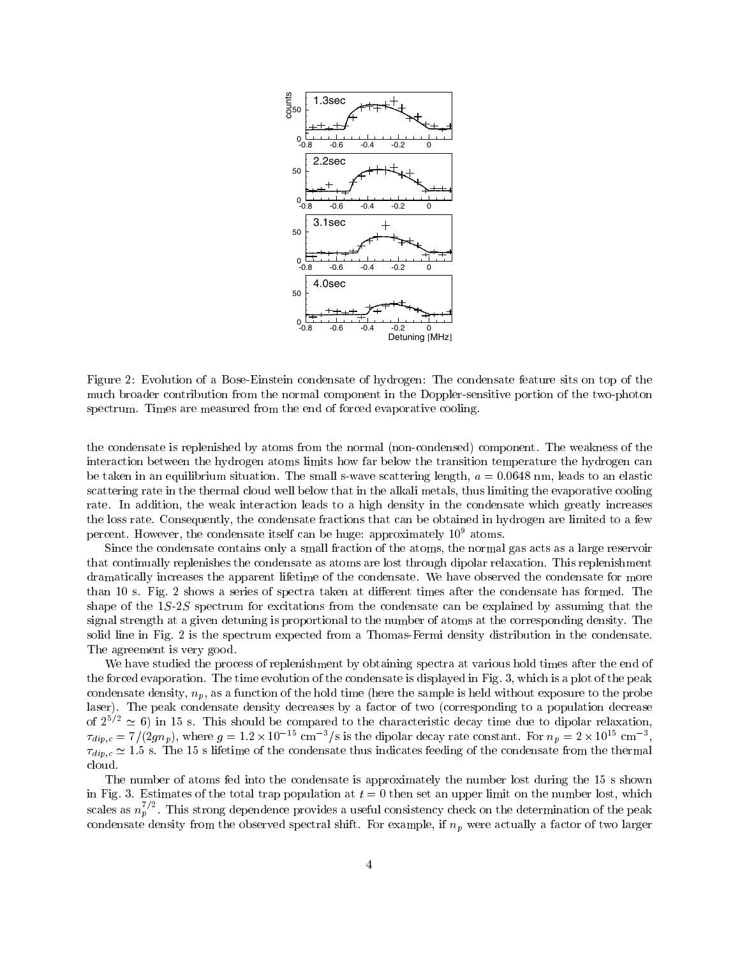

Figure 2: Evolution of a Bose-Einstein condensate of hydrogen: The condensate feature sits on top of the much broader contribution from the normal component in the Doppler-sensitive portion of the two-photon spectrum. Times are measured from the end of forced evaporative cooling.

the condensate is replenished by atoms from the normal (non-condensed) component. The weakness of the interaction between the hydrogen atoms limits how far below the transition temperature the hydrogen can be taken in an equilibrium situation. The small s-wave scattering length,  $a = 0.0648$  nm, leads to an elastic scattering rate in the thermal cloud well below that in the alkali metals, thus limiting the evaporative cooling rate. In addition, the weak interaction leads to a high density in the condensate which greatly increases the loss rate. Consequently, the condensate fractions that can be obtained in hydrogen are limited to a few percent. However, the condensate itself can be huge: approximately  $10^9$  atoms.

Since the condensate contains only a small fraction of the atoms, the normal gas acts as a large reservoir that continually replenishes the condensate as atoms are lost through dipolar relaxation. This replenishment dramatically increases the apparent lifetime of the condensate. We have observed the condensate for more than 10 s. Fig. 2 shows a series of spectra taken at different times after the condensate has formed. The shape of the 1S-2S spectrum for excitations from the condensate can be explained by assuming that the signal strength at a given detuning is proportional to the number of atoms at the corresponding density. The solid line in Fig. 2 is the spectrum expected from a Thomas-Fermi density distribution in the condensate. The agreement is very good.

We have studied the process of replenishment by obtaining spectra at various hold times after the end of the forced evaporation. The time evolution of the condensate is displayed in Fig. 3, which is a plot of the peak condensate density,  $n_p$ , as a function of the hold time (here the sample is held without exposure to the probe laser). The peak condensate density decreases by a factor of two (corresponding to a population decrease of  $2^{5/2} \approx 6$ ) in 15 s. This should be compared to the characteristic decay time due to dipolar relaxation,  $\tau_{dip,c} = 7/(2gn_p)$ , where  $g = 1.2 \times 10^{-15}$  cm<sup>-3</sup>/s is the dipolar decay rate constant. For  $n_p = 2 \times 10^{15}$  cm<sup>-3</sup>,  $\tau_{dip,c} \simeq 1.5$  s. The 15 s lifetime of the condensate thus indicates feeding of the condensate from t cloud.

The number of atoms fed into the condensate is approximately the number lost during the 15 s shown in Fig. 3. Estimates of the total trap population at  $t = 0$  then set an upper limit on the number lost, which scales as  $n_p^{\prime}$  . This strong dependence provides a useful consistency check on the determination of the peak condensate density from the observed spectral shift. For example, if  $n_p$  were actually a factor of two larger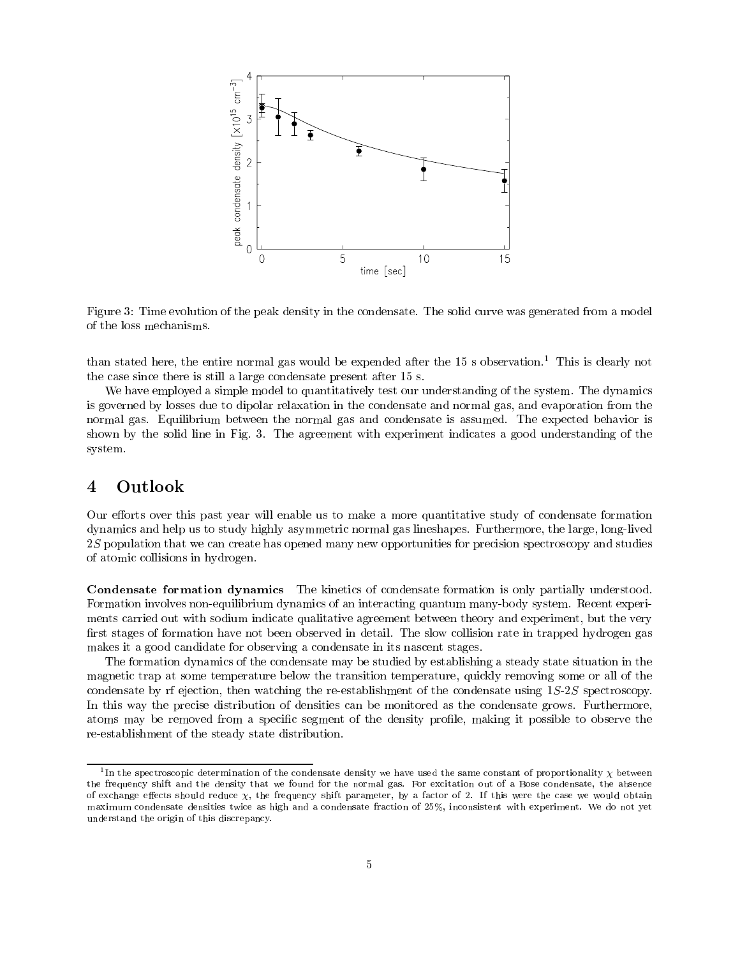

Figure 3: Time evolution of the peak density in the condensate. The solid curve was generated from a model

than stated here, the entire normal gas would be expended after the 15 s observation.<sup>1</sup> This is clearly not the case since there is still a large condensate present after 15 s.

We have employed a simple model to quantitatively test our understanding of the system. The dynamics is governed by losses due to dipolar relaxation in the condensate and normal gas, and evaporation from the normal gas. Equilibrium between the normal gas and condensate is assumed. The expected behavior is shown by the solid line in Fig. 3. The agreement with experiment indicates a good understanding of the system.

## $\overline{\mathbf{4}}$

Our efforts over this past year will enable us to make a more quantitative study of condensate formation dynamics and help us to study highly asymmetric normal gas lineshapes. Furthermore, the large, long-lived 2S population that we can create has opened many new opportunities for precision spectroscopy and studies of atomic collisions in hydrogen.

Condensate formation dynamics The kinetics of condensate formation is only partially understood. Formation involves non-equilibrium dynamics of an interacting quantum many-body system. Recent experiments carried out with sodium indicate qualitative agreement between theory and experiment, but the very first stages of formation have not been observed in detail. The slow collision rate in trapped hydrogen gas makes it a good candidate for observing a condensate in its nascent stages.

The formation dynamics of the condensate may be studied by establishing a steady state situation in the magnetic trap at some temperature below the transition temperature, quickly removing some or all of the condensate by rf ejection, then watching the re-establishment of the condensate using 1S-2S spectroscopy. In this way the precise distribution of densities can be monitored as the condensate grows. Furthermore, atoms may be removed from a specific segment of the density profile, making it possible to observe the re-establishment of the steady state distribution.

<sup>1</sup> In the spectroscopic determination of the condensate density we have used the same constant of proportionality between the frequency shift and the density that we found for the normal gas. For excitation out of a Bose condensate, the absence of exchange effects should reduce Y. the frequency shift parameter, by a factor of 2. If this were the case we would obtain maximum condensate densities twice as high and a condensate fraction of 25%, inconsistent with experiment. We do not yet understand the origin of this discrepancy.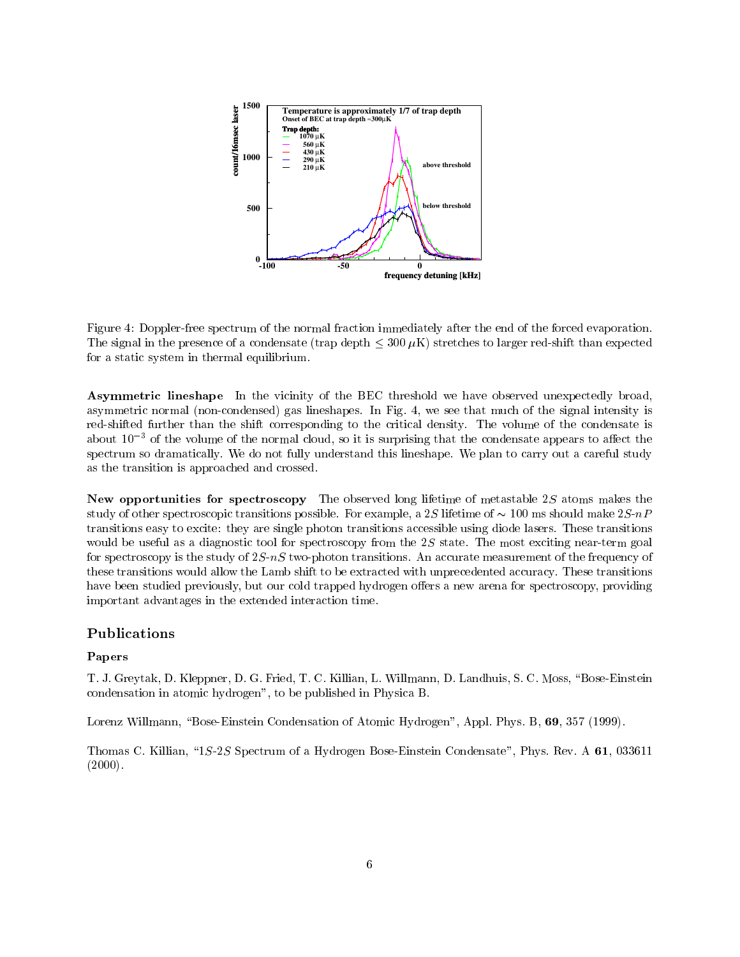

Figure 4: Doppler-free spectrum of the normal fraction immediately after the end of the forced evaporation. The signal in the presence of a condensate (trap depth  $\leq 300 \mu K$ ) stretches to larger red-shift than expected for a static system in thermal equilibrium.

Asymmetric lineshape In the vicinity of the BEC threshold we have observed unexpectedly broad, asymmetric normal (non-condensed) gas lineshapes. In Fig. 4, we see that much of the signal intensity is red-shifted further than the shift corresponding to the critical density. The volume of the condensate is about  $10^{-3}$  of the volume of the normal cloud, so it is surprising that the condensate appears to affect the spectrum so dramatically. We do not fully understand this lineshape. We plan to carry out a careful study as the transition is approached and crossed.

New opportunities for spectroscopy The observed long lifetime of metastable 2S atoms makes the study of other spectroscopic transitions possible. For example, a 2S lifetime of  $\sim 100$  ms should make  $2S$ -nP transitions easy to excite: they are single photon transitions accessible using diode lasers. These transitions would be useful as a diagnostic tool for spectroscopy from the  $2S$  state. The most exciting near-term goal for spectroscopy is the study of  $2S-nS$  two-photon transitions. An accurate measurement of the frequency of these transitions would allow the Lamb shift to be extracted with unprecedented accuracy. These transitions have been studied previously, but our cold trapped hydrogen offers a new arena for spectroscopy, providing important advantages in the extended interaction time.

## Publications

## Papers

T. J. Greytak, D. Kleppner, D. G. Fried, T. C. Killian, L. Willmann, D. Landhuis, S. C. Moss, \Bose-Einstein condensation in atomic hydrogen", to be published in Physica B.

Lorenz Willmann, "Bose-Einstein Condensation of Atomic Hydrogen", Appl. Phys. B, 69, 357 (1999).

Thomas C. Killian, \1S-2S Spectrum of a Hydrogen Bose-Einstein Condensate", Phys. Rev. A 61, 033611  $(2000)$ .